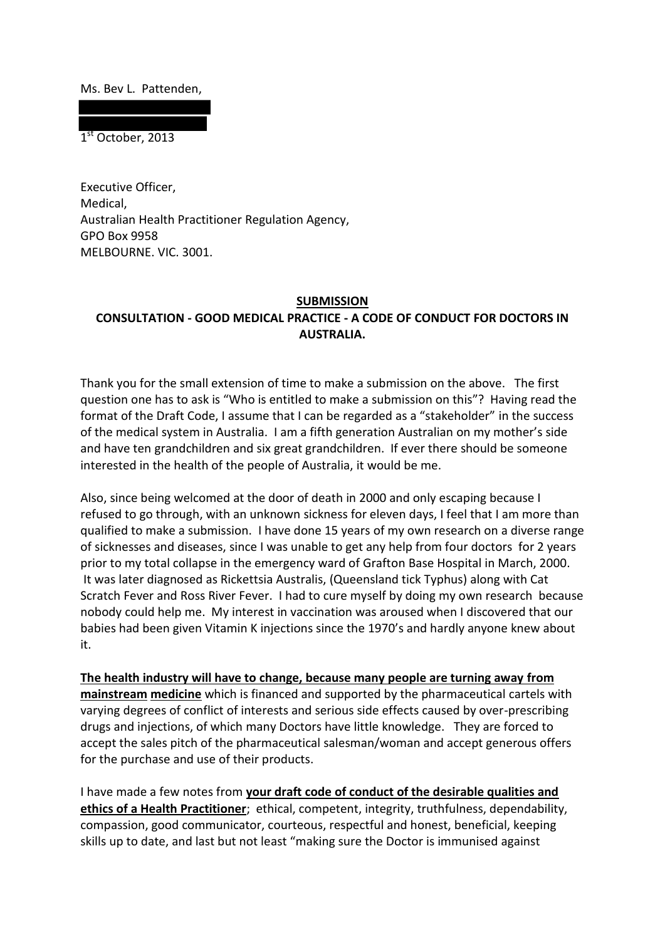Ms. Bev L. Pattenden,

1<sup>st</sup> October, 2013

Executive Officer, Medical, Australian Health Practitioner Regulation Agency, GPO Box 9958 MELBOURNE. VIC. 3001.

## **SUBMISSION CONSULTATION - GOOD MEDICAL PRACTICE - A CODE OF CONDUCT FOR DOCTORS IN AUSTRALIA.**

Thank you for the small extension of time to make a submission on the above. The first question one has to ask is "Who is entitled to make a submission on this"? Having read the format of the Draft Code, I assume that I can be regarded as a "stakeholder" in the success of the medical system in Australia. I am a fifth generation Australian on my mother's side and have ten grandchildren and six great grandchildren. If ever there should be someone interested in the health of the people of Australia, it would be me.

Also, since being welcomed at the door of death in 2000 and only escaping because I refused to go through, with an unknown sickness for eleven days, I feel that I am more than qualified to make a submission. I have done 15 years of my own research on a diverse range of sicknesses and diseases, since I was unable to get any help from four doctors for 2 years prior to my total collapse in the emergency ward of Grafton Base Hospital in March, 2000. It was later diagnosed as Rickettsia Australis, (Queensland tick Typhus) along with Cat Scratch Fever and Ross River Fever. I had to cure myself by doing my own research because nobody could help me. My interest in vaccination was aroused when I discovered that our babies had been given Vitamin K injections since the 1970's and hardly anyone knew about it.

**The health industry will have to change, because many people are turning away from mainstream medicine** which is financed and supported by the pharmaceutical cartels with varying degrees of conflict of interests and serious side effects caused by over-prescribing drugs and injections, of which many Doctors have little knowledge. They are forced to accept the sales pitch of the pharmaceutical salesman/woman and accept generous offers for the purchase and use of their products.

I have made a few notes from **your draft code of conduct of the desirable qualities and ethics of a Health Practitioner**; ethical, competent, integrity, truthfulness, dependability, compassion, good communicator, courteous, respectful and honest, beneficial, keeping skills up to date, and last but not least "making sure the Doctor is immunised against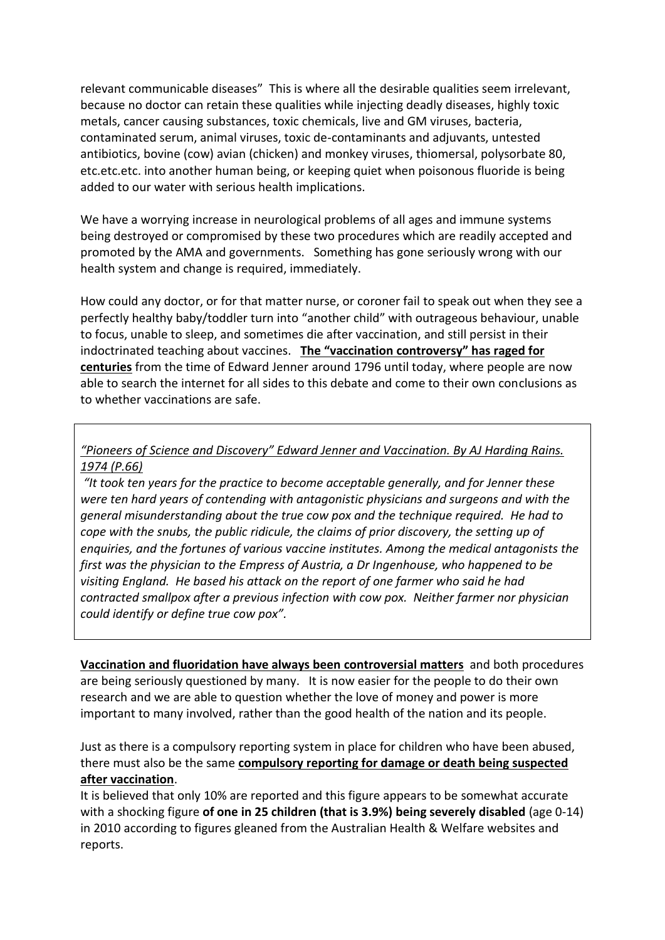relevant communicable diseases" This is where all the desirable qualities seem irrelevant, because no doctor can retain these qualities while injecting deadly diseases, highly toxic metals, cancer causing substances, toxic chemicals, live and GM viruses, bacteria, contaminated serum, animal viruses, toxic de-contaminants and adjuvants, untested antibiotics, bovine (cow) avian (chicken) and monkey viruses, thiomersal, polysorbate 80, etc.etc.etc. into another human being, or keeping quiet when poisonous fluoride is being added to our water with serious health implications.

We have a worrying increase in neurological problems of all ages and immune systems being destroyed or compromised by these two procedures which are readily accepted and promoted by the AMA and governments. Something has gone seriously wrong with our health system and change is required, immediately.

How could any doctor, or for that matter nurse, or coroner fail to speak out when they see a perfectly healthy baby/toddler turn into "another child" with outrageous behaviour, unable to focus, unable to sleep, and sometimes die after vaccination, and still persist in their indoctrinated teaching about vaccines. **The "vaccination controversy" has raged for centuries** from the time of Edward Jenner around 1796 until today, where people are now able to search the internet for all sides to this debate and come to their own conclusions as to whether vaccinations are safe.

*"Pioneers of Science and Discovery" Edward Jenner and Vaccination. By AJ Harding Rains. 1974 (P.66)*

*"It took ten years for the practice to become acceptable generally, and for Jenner these were ten hard years of contending with antagonistic physicians and surgeons and with the general misunderstanding about the true cow pox and the technique required. He had to cope with the snubs, the public ridicule, the claims of prior discovery, the setting up of enquiries, and the fortunes of various vaccine institutes. Among the medical antagonists the first was the physician to the Empress of Austria, a Dr Ingenhouse, who happened to be visiting England. He based his attack on the report of one farmer who said he had contracted smallpox after a previous infection with cow pox. Neither farmer nor physician could identify or define true cow pox".*

**Vaccination and fluoridation have always been controversial matters** and both procedures are being seriously questioned by many. It is now easier for the people to do their own research and we are able to question whether the love of money and power is more important to many involved, rather than the good health of the nation and its people.

Just as there is a compulsory reporting system in place for children who have been abused, there must also be the same **compulsory reporting for damage or death being suspected after vaccination**.

It is believed that only 10% are reported and this figure appears to be somewhat accurate with a shocking figure **of one in 25 children (that is 3.9%) being severely disabled** (age 0-14) in 2010 according to figures gleaned from the Australian Health & Welfare websites and reports.